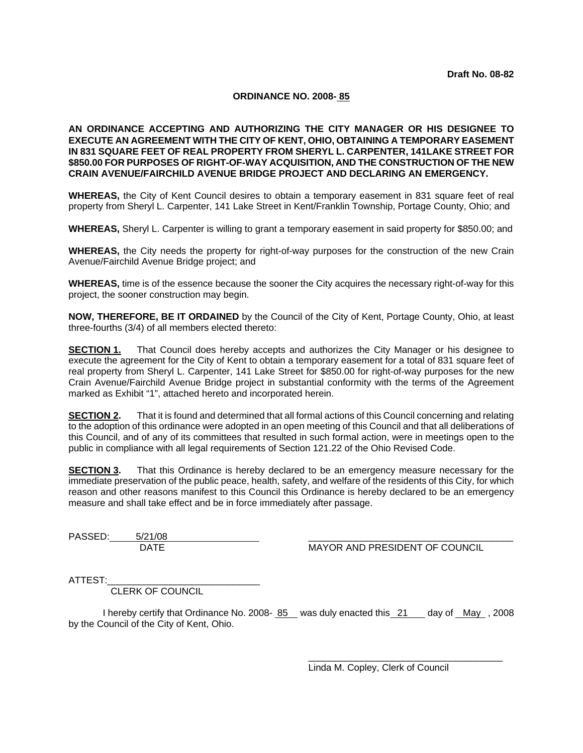#### **ORDINANCE NO. 2008- 85**

**AN ORDINANCE ACCEPTING AND AUTHORIZING THE CITY MANAGER OR HIS DESIGNEE TO EXECUTE AN AGREEMENT WITH THE CITY OF KENT, OHIO, OBTAINING A TEMPORARY EASEMENT IN 831 SQUARE FEET OF REAL PROPERTY FROM SHERYL L. CARPENTER, 141LAKE STREET FOR \$850.00 FOR PURPOSES OF RIGHT-OF-WAY ACQUISITION, AND THE CONSTRUCTION OF THE NEW CRAIN AVENUE/FAIRCHILD AVENUE BRIDGE PROJECT AND DECLARING AN EMERGENCY.** 

**WHEREAS,** the City of Kent Council desires to obtain a temporary easement in 831 square feet of real property from Sheryl L. Carpenter, 141 Lake Street in Kent/Franklin Township, Portage County, Ohio; and

**WHEREAS,** Sheryl L. Carpenter is willing to grant a temporary easement in said property for \$850.00; and

**WHEREAS,** the City needs the property for right-of-way purposes for the construction of the new Crain Avenue/Fairchild Avenue Bridge project; and

**WHEREAS,** time is of the essence because the sooner the City acquires the necessary right-of-way for this project, the sooner construction may begin.

**NOW, THEREFORE, BE IT ORDAINED** by the Council of the City of Kent, Portage County, Ohio, at least three-fourths (3/4) of all members elected thereto:

**SECTION 1.** That Council does hereby accepts and authorizes the City Manager or his designee to execute the agreement for the City of Kent to obtain a temporary easement for a total of 831 square feet of real property from Sheryl L. Carpenter, 141 Lake Street for \$850.00 for right-of-way purposes for the new Crain Avenue/Fairchild Avenue Bridge project in substantial conformity with the terms of the Agreement marked as Exhibit "1", attached hereto and incorporated herein.

**SECTION 2.** That it is found and determined that all formal actions of this Council concerning and relating to the adoption of this ordinance were adopted in an open meeting of this Council and that all deliberations of this Council, and of any of its committees that resulted in such formal action, were in meetings open to the public in compliance with all legal requirements of Section 121.22 of the Ohio Revised Code.

**SECTION 3.** That this Ordinance is hereby declared to be an emergency measure necessary for the immediate preservation of the public peace, health, safety, and welfare of the residents of this City, for which reason and other reasons manifest to this Council this Ordinance is hereby declared to be an emergency measure and shall take effect and be in force immediately after passage.

PASSED: 5/21/08

DATE MAYOR AND PRESIDENT OF COUNCIL

ATTEST:

CLERK OF COUNCIL

I hereby certify that Ordinance No. 2008-  $85$  was duly enacted this  $21$  day of May, 2008 by the Council of the City of Kent, Ohio.

> $\overline{\phantom{a}}$  ,  $\overline{\phantom{a}}$  ,  $\overline{\phantom{a}}$  ,  $\overline{\phantom{a}}$  ,  $\overline{\phantom{a}}$  ,  $\overline{\phantom{a}}$  ,  $\overline{\phantom{a}}$  ,  $\overline{\phantom{a}}$  ,  $\overline{\phantom{a}}$  ,  $\overline{\phantom{a}}$  ,  $\overline{\phantom{a}}$  ,  $\overline{\phantom{a}}$  ,  $\overline{\phantom{a}}$  ,  $\overline{\phantom{a}}$  ,  $\overline{\phantom{a}}$  ,  $\overline{\phantom{a}}$ Linda M. Copley, Clerk of Council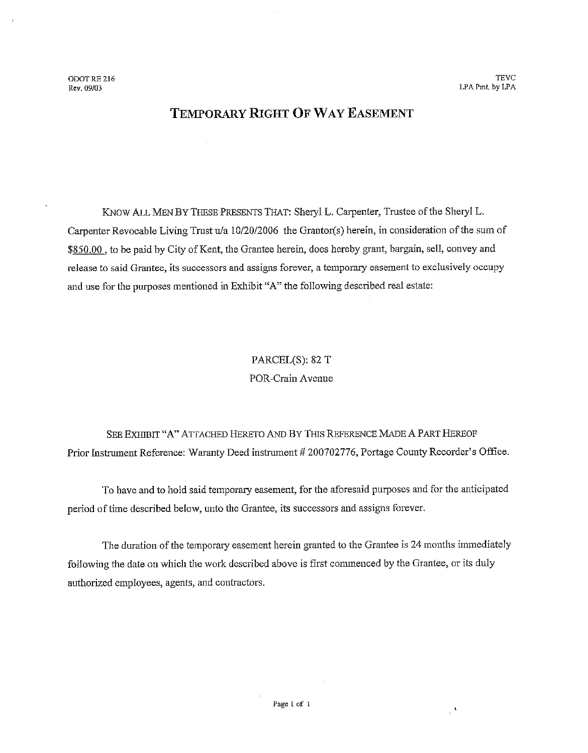# TEMPORARY RIGHT OF WAY EASEMENT

KNOW ALL MEN BY THESE PRESENTS THAT: Sheryl L. Carpenter, Trustee of the Sheryl L. Carpenter Revocable Living Trust u/a 10/20/2006 the Grantor(s) herein, in consideration of the sum of \$850.00, to be paid by City of Kent, the Grantee herein, does hereby grant, bargain, sell, convey and release to said Grantee, its successors and assigns forever, a temporary easement to exclusively occupy and use for the purposes mentioned in Exhibit "A" the following described real estate:

# PARCEL(S): 82 T POR-Crain Avenue

SEE EXHIBIT "A" ATTACHED HERETO AND BY THIS REFERENCE MADE A PART HEREOF Prior Instrument Reference: Waranty Deed instrument # 200702776, Portage County Recorder's Office.

To have and to hold said temporary easement, for the aforesaid purposes and for the anticipated period of time described below, unto the Grantee, its successors and assigns forever.

The duration of the temporary easement herein granted to the Grantee is 24 months immediately following the date on which the work described above is first commenced by the Grantee, or its duly authorized employees, agents, and contractors.

 $\mathcal{A}$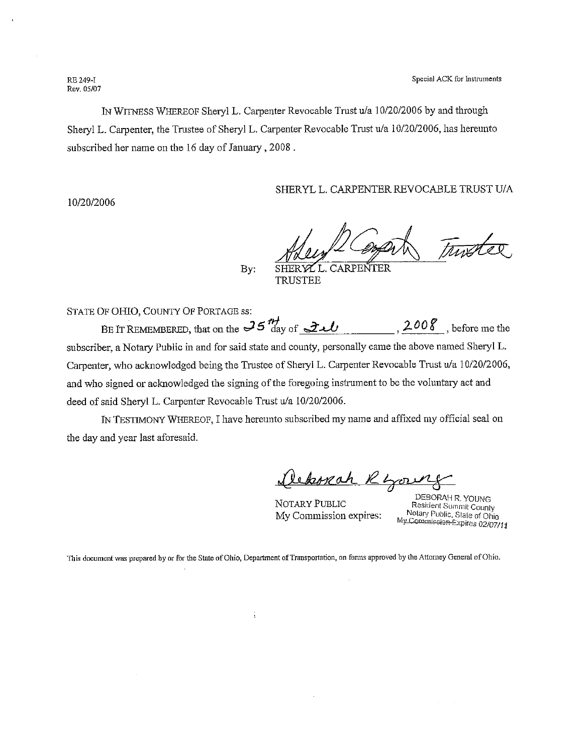Special ACK for Instruments

RE 249-I Rev. 05/07

IN WITNESS WHEREOF Sheryl L. Carpenter Revocable Trust u/a 10/20/2006 by and through Sheryl L. Carpenter, the Trustee of Sheryl L. Carpenter Revocable Trust u/a 10/20/2006, has hereunto subscribed her name on the 16 day of January, 2008.

SHERYL L. CARPENTER REVOCABLE TRUST U/A

10/20/2006

CARPENTER

By: **TRUSTEE** 

STATE OF OHIO, COUNTY OF PORTAGE ss:

BE IT REMEMBERED, that on the  $35 \frac{n}{100}$  of  $2\nu$ , 2008, before me the subscriber, a Notary Public in and for said state and county, personally came the above named Sheryl L. Carpenter, who acknowledged being the Trustee of Sheryl L. Carpenter Revocable Trust u/a 10/20/2006, and who signed or acknowledged the signing of the foregoing instrument to be the voluntary act and deed of said Sheryl L. Carpenter Revocable Trust u/a 10/20/2006.

IN TESTIMONY WHEREOF, I have hereunto subscribed my name and affixed my official seal on the day and year last aforesaid.

<u> Dekorah Ryon</u>

NOTARY PUBLIC My Commission expires:

DEBORAH R. YOUNG Resident Summit County Notary Public, State of Ohio My Commission Expires 02/07/11

This document was prepared by or for the State of Ohio, Department of Transportation, on forms approved by the Attorney General of Ohio.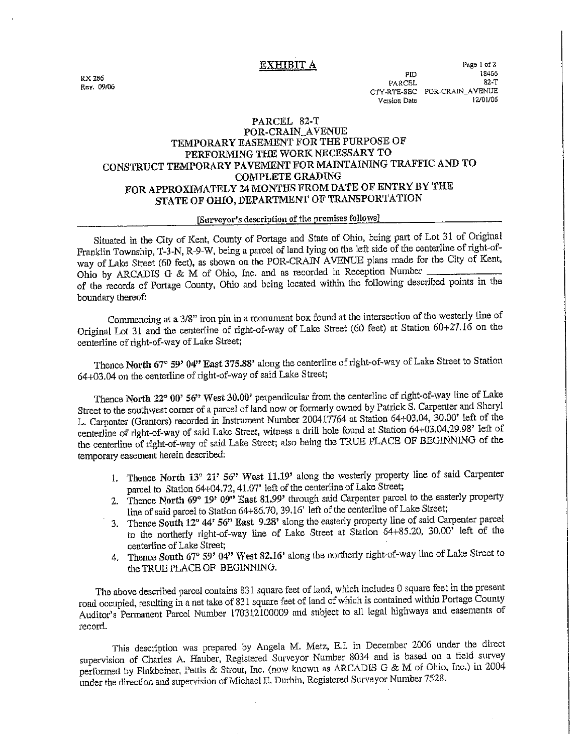**EXHIBIT A** 

RX 286 Rev. 09/06

### PARCEL 82-T POR-CRAIN\_AVENUE TEMPORARY EASEMENT FOR THE PURPOSE OF PERFORMING THE WORK NECESSARY TO CONSTRUCT TEMPORARY PAVEMENT FOR MAINTAINING TRAFFIC AND TO **COMPLETE GRADING** FOR APPROXIMATELY 24 MONTHS FROM DATE OF ENTRY BY THE STATE OF OHIO, DEPARTMENT OF TRANSPORTATION

### [Surveyor's description of the premises follows]

Situated in the City of Kent, County of Portage and State of Ohio, being part of Lot 31 of Original Franklin Township, T-3-N, R-9-W, being a parcel of land lying on the left side of the centerline of right-ofway of Lake Street (60 feet), as shown on the POR-CRAIN AVENUE plans made for the City of Kent, Ohio by ARCADIS G & M of Ohio, Inc. and as recorded in Reception Number of the records of Portage County, Ohio and being located within the following described points in the boundary thereof:

Commencing at a 3/8" iron pin in a monument box found at the intersection of the westerly line of Original Lot 31 and the centerline of right-of-way of Lake Street (60 feet) at Station 60+27.16 on the centerline of right-of-way of Lake Street;

Thence North 67° 59' 04" East 375.88' along the centerline of right-of-way of Lake Street to Station 64+03.04 on the centerline of right-of-way of said Lake Street;

Thence North 22° 00' 56" West 30.00' perpendicular from the centerline of right-of-way line of Lake Street to the southwest corner of a parcel of land now or formerly owned by Patrick S. Carpenter and Sheryl L. Carpenter (Grantors) recorded in Instrument Number 200417764 at Station 64+03.04, 30.00' left of the centerline of right-of-way of said Lake Street, witness a drill hole found at Station 64+03.04,29.98' left of the centerline of right-of-way of said Lake Street; also being the TRUE PLACE OF BEGINNING of the temporary easement herein described:

- 1. Thence North 13° 21' 56" West 11.19' along the westerly property line of said Carpenter parcel to Station 64+04.72, 41.07' left of the centerline of Lake Street;
- 2. Thence North 69° 19' 09" East 81.99' through said Carpenter parcel to the easterly property line of said parcel to Station 64+86.70, 39.16' left of the centerline of Lake Street;
- 3. Thence South 12° 44' 56" East 9.28' along the easterly property line of said Carpenter parcel to the northerly right-of-way line of Lake Street at Station 64+85.20, 30.00' left of the centerline of Lake Street;
- 4. Thence South 67° 59' 04" West 82.16' along the northerly right-of-way line of Lake Street to the TRUE PLACE OF BEGINNING.

The above described parcel contains 831 square feet of land, which includes 0 square feet in the present road occupied, resulting in a net take of 831 square feet of land of which is contained within Portage County Auditor's Permanent Parcel Number 170312100009 and subject to all legal highways and easements of record.

This description was prepared by Angela M. Metz, E.I. in December 2006 under the direct supervision of Charles A. Hauber, Registered Surveyor Number 8034 and is based on a field survey performed by Finkbeiner, Pettis & Strout, Inc. (now known as ARCADIS G & M of Ohio, Inc.) in 2004 under the direction and supervision of Michael E. Durbin, Registered Surveyor Number 7528.